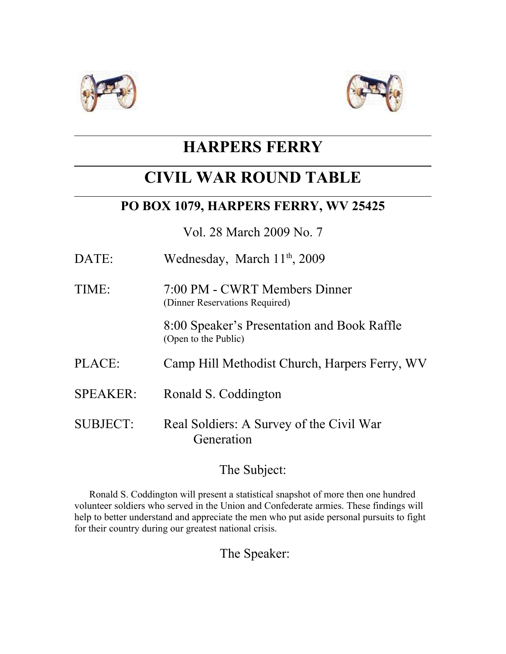



# **HARPERS FERRY**

## **CIVIL WAR ROUND TABLE**

### **PO BOX 1079, HARPERS FERRY, WV 25425**

Vol. 28 March 2009 No. 7

- DATE: Wednesday, March  $11<sup>th</sup>$ , 2009
- TIME: 7:00 PM CWRT Members Dinner (Dinner Reservations Required)

8:00 Speaker's Presentation and Book Raffle (Open to the Public)

- PLACE: Camp Hill Methodist Church, Harpers Ferry, WV
- SPEAKER: Ronald S. Coddington
- SUBJECT: Real Soldiers: A Survey of the Civil War Generation

### The Subject:

 Ronald S. Coddington will present a statistical snapshot of more then one hundred volunteer soldiers who served in the Union and Confederate armies. These findings will help to better understand and appreciate the men who put aside personal pursuits to fight for their country during our greatest national crisis.

The Speaker: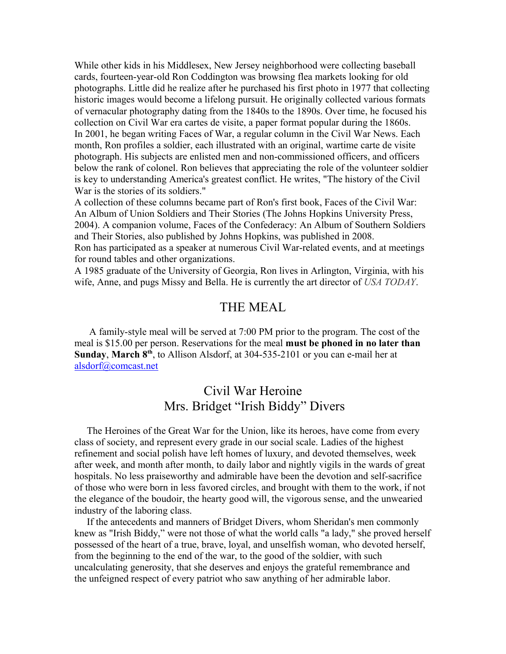While other kids in his Middlesex, New Jersey neighborhood were collecting baseball cards, fourteen-year-old Ron Coddington was browsing flea markets looking for old photographs. Little did he realize after he purchased his first photo in 1977 that collecting historic images would become a lifelong pursuit. He originally collected various formats of vernacular photography dating from the 1840s to the 1890s. Over time, he focused his collection on Civil War era cartes de visite, a paper format popular during the 1860s. In 2001, he began writing Faces of War, a regular column in the Civil War News. Each month, Ron profiles a soldier, each illustrated with an original, wartime carte de visite photograph. His subjects are enlisted men and non-commissioned officers, and officers below the rank of colonel. Ron believes that appreciating the role of the volunteer soldier is key to understanding America's greatest conflict. He writes, "The history of the Civil War is the stories of its soldiers."

A collection of these columns became part of Ron's first book, Faces of the Civil War: An Album of Union Soldiers and Their Stories (The Johns Hopkins University Press, 2004). A companion volume, Faces of the Confederacy: An Album of Southern Soldiers and Their Stories, also published by Johns Hopkins, was published in 2008. Ron has participated as a speaker at numerous Civil War-related events, and at meetings for round tables and other organizations.

A 1985 graduate of the University of Georgia, Ron lives in Arlington, Virginia, with his wife, Anne, and pugs Missy and Bella. He is currently the art director of *USA TODAY*.

#### THE MEAL

 A family-style meal will be served at 7:00 PM prior to the program. The cost of the meal is \$15.00 per person. Reservations for the meal **must be phoned in no later than Sunday**, **March 8th**, to Allison Alsdorf, at 304-535-2101 or you can e-mail her at [alsdorf@comcast.net](mailto:alsdorf@comcast.net)

#### Civil War Heroine Mrs. Bridget "Irish Biddy" Divers

 The Heroines of the Great War for the Union, like its heroes, have come from every class of society, and represent every grade in our social scale. Ladies of the highest refinement and social polish have left homes of luxury, and devoted themselves, week after week, and month after month, to daily labor and nightly vigils in the wards of great hospitals. No less praiseworthy and admirable have been the devotion and self-sacrifice of those who were born in less favored circles, and brought with them to the work, if not the elegance of the boudoir, the hearty good will, the vigorous sense, and the unwearied industry of the laboring class.

 If the antecedents and manners of Bridget Divers, whom Sheridan's men commonly knew as "Irish Biddy," were not those of what the world calls "a lady," she proved herself possessed of the heart of a true, brave, loyal, and unselfish woman, who devoted herself, from the beginning to the end of the war, to the good of the soldier, with such uncalculating generosity, that she deserves and enjoys the grateful remembrance and the unfeigned respect of every patriot who saw anything of her admirable labor.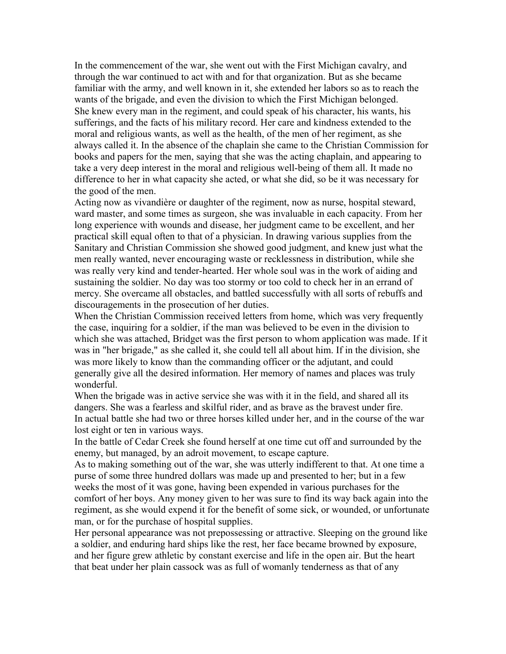In the commencement of the war, she went out with the First Michigan cavalry, and through the war continued to act with and for that organization. But as she became familiar with the army, and well known in it, she extended her labors so as to reach the wants of the brigade, and even the division to which the First Michigan belonged. She knew every man in the regiment, and could speak of his character, his wants, his sufferings, and the facts of his military record. Her care and kindness extended to the moral and religious wants, as well as the health, of the men of her regiment, as she always called it. In the absence of the chaplain she came to the Christian Commission for books and papers for the men, saying that she was the acting chaplain, and appearing to take a very deep interest in the moral and religious well-being of them all. It made no difference to her in what capacity she acted, or what she did, so be it was necessary for the good of the men.

Acting now as vivandière or daughter of the regiment, now as nurse, hospital steward, ward master, and some times as surgeon, she was invaluable in each capacity. From her long experience with wounds and disease, her judgment came to be excellent, and her practical skill equal often to that of a physician. In drawing various supplies from the Sanitary and Christian Commission she showed good judgment, and knew just what the men really wanted, never encouraging waste or recklessness in distribution, while she was really very kind and tender-hearted. Her whole soul was in the work of aiding and sustaining the soldier. No day was too stormy or too cold to check her in an errand of mercy. She overcame all obstacles, and battled successfully with all sorts of rebuffs and discouragements in the prosecution of her duties.

When the Christian Commission received letters from home, which was very frequently the case, inquiring for a soldier, if the man was believed to be even in the division to which she was attached, Bridget was the first person to whom application was made. If it was in "her brigade," as she called it, she could tell all about him. If in the division, she was more likely to know than the commanding officer or the adjutant, and could generally give all the desired information. Her memory of names and places was truly wonderful.

When the brigade was in active service she was with it in the field, and shared all its dangers. She was a fearless and skilful rider, and as brave as the bravest under fire. In actual battle she had two or three horses killed under her, and in the course of the war lost eight or ten in various ways.

In the battle of Cedar Creek she found herself at one time cut off and surrounded by the enemy, but managed, by an adroit movement, to escape capture.

As to making something out of the war, she was utterly indifferent to that. At one time a purse of some three hundred dollars was made up and presented to her; but in a few weeks the most of it was gone, having been expended in various purchases for the comfort of her boys. Any money given to her was sure to find its way back again into the regiment, as she would expend it for the benefit of some sick, or wounded, or unfortunate man, or for the purchase of hospital supplies.

Her personal appearance was not prepossessing or attractive. Sleeping on the ground like a soldier, and enduring hard ships like the rest, her face became browned by exposure, and her figure grew athletic by constant exercise and life in the open air. But the heart that beat under her plain cassock was as full of womanly tenderness as that of any